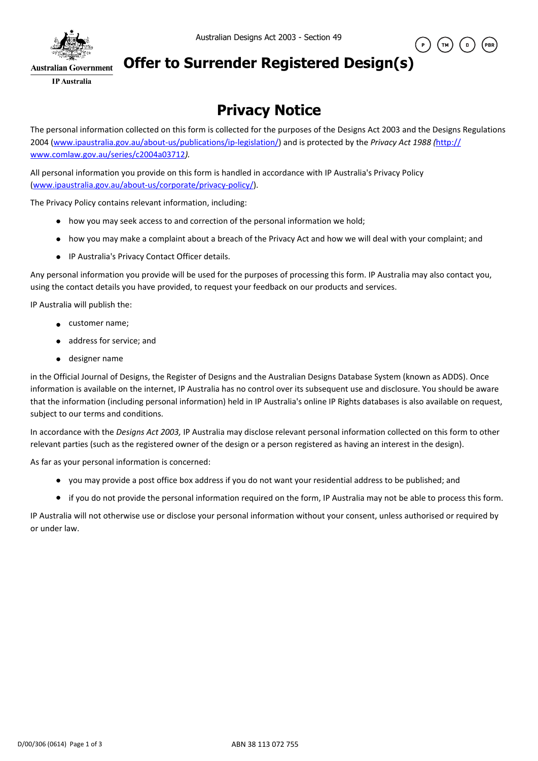

## **Offer to Surrender Registered Design(s)**

**IP** Australia

## **Privacy Notice**

The personal information collected on this form is collected for the purposes of the Designs Act 2003 and the Designs Regulations 2004 (www.ipaustralia.gov.au/about-us/publications/ip-legislation/) and is protected by the *Privacy Act 1988 (*http:// www.comlaw.gov.au/series/c2004a03712*).*

All personal information you provide on this form is handled in accordance with IP Australia's Privacy Policy (www.ipaustralia.gov.au/about-us/corporate/privacy-policy/).

The Privacy Policy contains relevant information, including:

- how you may seek access to and correction of the personal information we hold;
- how you may make a complaint about a breach of the Privacy Act and how we will deal with your complaint; and
- IP Australia's Privacy Contact Officer details.

Any personal information you provide will be used for the purposes of processing this form. IP Australia may also contact you, using the contact details you have provided, to request your feedback on our products and services.

IP Australia will publish the:

- **e** customer name;
- address for service; and
- designer name

in the Official Journal of Designs, the Register of Designs and the Australian Designs Database System (known as ADDS). Once information is available on the internet, IP Australia has no control over its subsequent use and disclosure. You should be aware that the information (including personal information) held in IP Australia's online IP Rights databases is also available on request, subject to our terms and conditions.

In accordance with the *Designs Act 2003,* IP Australia may disclose relevant personal information collected on this form to other relevant parties (such as the registered owner of the design or a person registered as having an interest in the design).

As far as your personal information is concerned:

- you may provide a post office box address if you do not want your residential address to be published; and
- if you do not provide the personal information required on the form, IP Australia may not be able to process this form.

IP Australia will not otherwise use or disclose your personal information without your consent, unless authorised or required by or under law.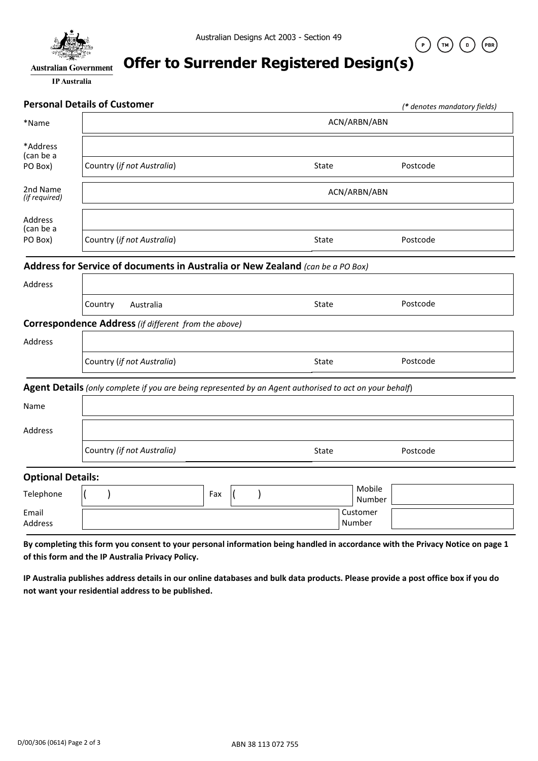

 $(\begin{array}{c} \circ \end{array})$ 

 $(\tau_{M})$ 

 $\sqrt{2}$ 

 $(\overline{\mathsf{PBR}})$ 

# **Offer to Surrender Registered Design(s)**

**IP** Australia

|                           | <b>Personal Details of Customer</b>                                                                                                                                                 |     |  |               |       |                    | (* denotes mandatory fields) |  |
|---------------------------|-------------------------------------------------------------------------------------------------------------------------------------------------------------------------------------|-----|--|---------------|-------|--------------------|------------------------------|--|
| *Name                     |                                                                                                                                                                                     |     |  |               |       | ACN/ARBN/ABN       |                              |  |
| *Address<br>(can be a     |                                                                                                                                                                                     |     |  |               |       |                    |                              |  |
| PO Box)                   | Country (if not Australia)                                                                                                                                                          |     |  |               | State |                    | Postcode                     |  |
| 2nd Name<br>(if required) |                                                                                                                                                                                     |     |  |               |       | ACN/ARBN/ABN       |                              |  |
| Address<br>(can be a      |                                                                                                                                                                                     |     |  |               |       |                    |                              |  |
| PO Box)                   | Country (if not Australia)                                                                                                                                                          |     |  |               | State |                    | Postcode                     |  |
|                           | Address for Service of documents in Australia or New Zealand (can be a PO Box)                                                                                                      |     |  |               |       |                    |                              |  |
| Address                   |                                                                                                                                                                                     |     |  |               |       |                    |                              |  |
|                           | Country<br>Australia                                                                                                                                                                |     |  |               | State |                    | Postcode                     |  |
|                           | Correspondence Address (if different from the above)                                                                                                                                |     |  |               |       |                    |                              |  |
| Address                   |                                                                                                                                                                                     |     |  |               |       |                    |                              |  |
|                           | Country (if not Australia)                                                                                                                                                          |     |  |               | State |                    | Postcode                     |  |
|                           | Agent Details (only complete if you are being represented by an Agent authorised to act on your behalf)                                                                             |     |  |               |       |                    |                              |  |
| Name                      |                                                                                                                                                                                     |     |  |               |       |                    |                              |  |
| Address                   |                                                                                                                                                                                     |     |  |               |       |                    |                              |  |
|                           | Country (if not Australia)                                                                                                                                                          |     |  |               | State |                    | Postcode                     |  |
| <b>Optional Details:</b>  |                                                                                                                                                                                     |     |  |               |       |                    |                              |  |
| Telephone                 |                                                                                                                                                                                     | Fax |  | $\mathcal{E}$ |       | Mobile<br>Number   |                              |  |
| Email<br>Address          |                                                                                                                                                                                     |     |  |               |       | Customer<br>Number |                              |  |
|                           | By completing this form you consent to your personal information being handled in accordance with the Privacy Notice on page 1<br>of this form and the IP Australia Privacy Policy. |     |  |               |       |                    |                              |  |

**IP Australia publishes address details in our online databases and bulk data products. Please provide a post office box if you do not want your residential address to be published.**